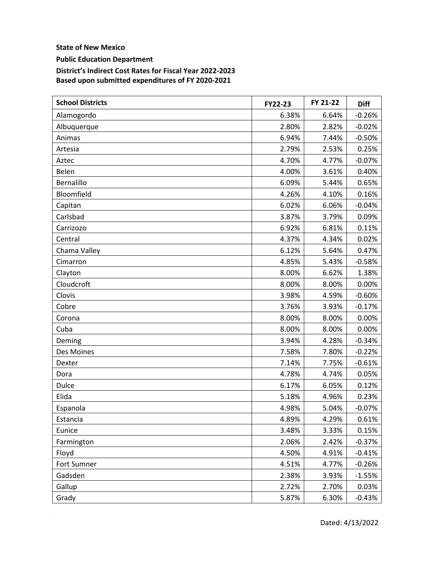**State of New Mexico** 

**Public Education Department** 

**District's Indirect Cost Rates for Fiscal Year 2022-2023 Based upon submitted expenditures of FY 2020-2021** 

| <b>School Districts</b> | FY22-23 | FY 21-22 | <b>Diff</b> |
|-------------------------|---------|----------|-------------|
| Alamogordo              | 6.38%   | 6.64%    | $-0.26%$    |
| Albuquerque             | 2.80%   | 2.82%    | $-0.02%$    |
| Animas                  | 6.94%   | 7.44%    | $-0.50%$    |
| Artesia                 | 2.79%   | 2.53%    | 0.25%       |
| Aztec                   | 4.70%   | 4.77%    | $-0.07%$    |
| Belen                   | 4.00%   | 3.61%    | 0.40%       |
| Bernalillo              | 6.09%   | 5.44%    | 0.65%       |
| Bloomfield              | 4.26%   | 4.10%    | 0.16%       |
| Capitan                 | 6.02%   | 6.06%    | $-0.04%$    |
| Carlsbad                | 3.87%   | 3.79%    | 0.09%       |
| Carrizozo               | 6.92%   | 6.81%    | 0.11%       |
| Central                 | 4.37%   | 4.34%    | 0.02%       |
| Chama Valley            | 6.12%   | 5.64%    | 0.47%       |
| Cimarron                | 4.85%   | 5.43%    | $-0.58%$    |
| Clayton                 | 8.00%   | 6.62%    | 1.38%       |
| Cloudcroft              | 8.00%   | 8.00%    | 0.00%       |
| Clovis                  | 3.98%   | 4.59%    | $-0.60%$    |
| Cobre                   | 3.76%   | 3.93%    | $-0.17%$    |
| Corona                  | 8.00%   | 8.00%    | 0.00%       |
| Cuba                    | 8.00%   | 8.00%    | 0.00%       |
| Deming                  | 3.94%   | 4.28%    | $-0.34%$    |
| Des Moines              | 7.58%   | 7.80%    | $-0.22%$    |
| Dexter                  | 7.14%   | 7.75%    | $-0.61%$    |
| Dora                    | 4.78%   | 4.74%    | 0.05%       |
| Dulce                   | 6.17%   | 6.05%    | 0.12%       |
| Elida                   | 5.18%   | 4.96%    | 0.23%       |
| Espanola                | 4.98%   | 5.04%    | $-0.07%$    |
| Estancia                | 4.89%   | 4.29%    | 0.61%       |
| Eunice                  | 3.48%   | 3.33%    | 0.15%       |
| Farmington              | 2.06%   | 2.42%    | $-0.37%$    |
| Floyd                   | 4.50%   | 4.91%    | $-0.41%$    |
| Fort Sumner             | 4.51%   | 4.77%    | $-0.26%$    |
| Gadsden                 | 2.38%   | 3.93%    | $-1.55%$    |
| Gallup                  | 2.72%   | 2.70%    | 0.03%       |
| Grady                   | 5.87%   | 6.30%    | $-0.43%$    |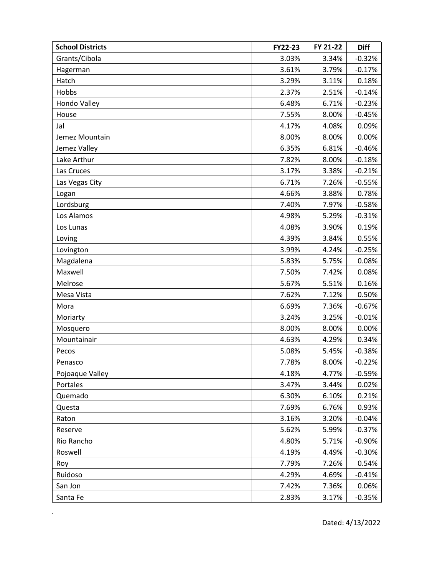| <b>School Districts</b> | FY22-23 | FY 21-22 | <b>Diff</b> |
|-------------------------|---------|----------|-------------|
| Grants/Cibola           | 3.03%   | 3.34%    | $-0.32%$    |
| Hagerman                | 3.61%   | 3.79%    | $-0.17%$    |
| Hatch                   | 3.29%   | 3.11%    | 0.18%       |
| Hobbs                   | 2.37%   | 2.51%    | $-0.14%$    |
| Hondo Valley            | 6.48%   | 6.71%    | $-0.23%$    |
| House                   | 7.55%   | 8.00%    | $-0.45%$    |
| Jal                     | 4.17%   | 4.08%    | 0.09%       |
| Jemez Mountain          | 8.00%   | 8.00%    | 0.00%       |
| Jemez Valley            | 6.35%   | 6.81%    | $-0.46%$    |
| Lake Arthur             | 7.82%   | 8.00%    | $-0.18%$    |
| Las Cruces              | 3.17%   | 3.38%    | $-0.21%$    |
| Las Vegas City          | 6.71%   | 7.26%    | $-0.55%$    |
| Logan                   | 4.66%   | 3.88%    | 0.78%       |
| Lordsburg               | 7.40%   | 7.97%    | $-0.58%$    |
| Los Alamos              | 4.98%   | 5.29%    | $-0.31%$    |
| Los Lunas               | 4.08%   | 3.90%    | 0.19%       |
| Loving                  | 4.39%   | 3.84%    | 0.55%       |
| Lovington               | 3.99%   | 4.24%    | $-0.25%$    |
| Magdalena               | 5.83%   | 5.75%    | 0.08%       |
| Maxwell                 | 7.50%   | 7.42%    | 0.08%       |
| Melrose                 | 5.67%   | 5.51%    | 0.16%       |
| Mesa Vista              | 7.62%   | 7.12%    | 0.50%       |
| Mora                    | 6.69%   | 7.36%    | $-0.67%$    |
| Moriarty                | 3.24%   | 3.25%    | $-0.01%$    |
| Mosquero                | 8.00%   | 8.00%    | 0.00%       |
| Mountainair             | 4.63%   | 4.29%    | 0.34%       |
| Pecos                   | 5.08%   | 5.45%    | $-0.38%$    |
| Penasco                 | 7.78%   | 8.00%    | $-0.22%$    |
| Pojoaque Valley         | 4.18%   | 4.77%    | $-0.59%$    |
| Portales                | 3.47%   | 3.44%    | 0.02%       |
| Quemado                 | 6.30%   | 6.10%    | 0.21%       |
| Questa                  | 7.69%   | 6.76%    | 0.93%       |
| Raton                   | 3.16%   | 3.20%    | $-0.04%$    |
| Reserve                 | 5.62%   | 5.99%    | $-0.37%$    |
| Rio Rancho              | 4.80%   | 5.71%    | $-0.90%$    |
| Roswell                 | 4.19%   | 4.49%    | $-0.30%$    |
| Roy                     | 7.79%   | 7.26%    | 0.54%       |
| Ruidoso                 | 4.29%   | 4.69%    | $-0.41%$    |
| San Jon                 | 7.42%   | 7.36%    | 0.06%       |
| Santa Fe                | 2.83%   | 3.17%    | $-0.35%$    |

 $\mathcal{L}_{\text{max}}$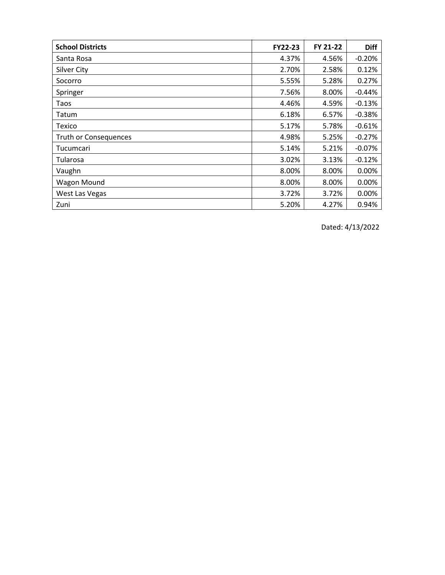| <b>School Districts</b> | <b>FY22-23</b> | FY 21-22 | Diff     |
|-------------------------|----------------|----------|----------|
| Santa Rosa              | 4.37%          | 4.56%    | $-0.20%$ |
| <b>Silver City</b>      | 2.70%          | 2.58%    | 0.12%    |
| Socorro                 | 5.55%          | 5.28%    | 0.27%    |
| Springer                | 7.56%          | 8.00%    | $-0.44%$ |
| Taos                    | 4.46%          | 4.59%    | $-0.13%$ |
| Tatum                   | 6.18%          | 6.57%    | $-0.38%$ |
| Texico                  | 5.17%          | 5.78%    | $-0.61%$ |
| Truth or Consequences   | 4.98%          | 5.25%    | $-0.27%$ |
| Tucumcari               | 5.14%          | 5.21%    | $-0.07%$ |
| Tularosa                | 3.02%          | 3.13%    | $-0.12%$ |
| Vaughn                  | 8.00%          | 8.00%    | 0.00%    |
| Wagon Mound             | 8.00%          | 8.00%    | 0.00%    |
| West Las Vegas          | 3.72%          | 3.72%    | 0.00%    |
| Zuni                    | 5.20%          | 4.27%    | 0.94%    |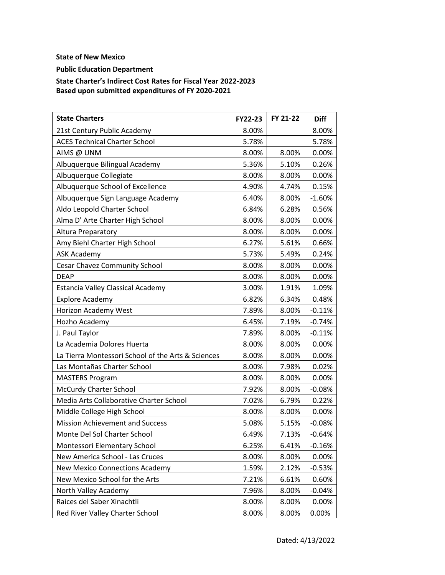## **State of New Mexico**

**Public Education Department** 

**State Charter's Indirect Cost Rates for Fiscal Year 2022-2023 Based upon submitted expenditures of FY 2020-2021** 

| <b>State Charters</b>                              | FY22-23 | FY 21-22 | <b>Diff</b> |
|----------------------------------------------------|---------|----------|-------------|
| 21st Century Public Academy                        | 8.00%   |          | 8.00%       |
| <b>ACES Technical Charter School</b>               | 5.78%   |          | 5.78%       |
| AIMS @ UNM                                         | 8.00%   | 8.00%    | 0.00%       |
| Albuquerque Bilingual Academy                      | 5.36%   | 5.10%    | 0.26%       |
| Albuquerque Collegiate                             | 8.00%   | 8.00%    | 0.00%       |
| Albuquerque School of Excellence                   | 4.90%   | 4.74%    | 0.15%       |
| Albuquerque Sign Language Academy                  | 6.40%   | 8.00%    | $-1.60%$    |
| Aldo Leopold Charter School                        | 6.84%   | 6.28%    | 0.56%       |
| Alma D' Arte Charter High School                   | 8.00%   | 8.00%    | 0.00%       |
| Altura Preparatory                                 | 8.00%   | 8.00%    | 0.00%       |
| Amy Biehl Charter High School                      | 6.27%   | 5.61%    | 0.66%       |
| <b>ASK Academy</b>                                 | 5.73%   | 5.49%    | 0.24%       |
| <b>Cesar Chavez Community School</b>               | 8.00%   | 8.00%    | 0.00%       |
| <b>DEAP</b>                                        | 8.00%   | 8.00%    | 0.00%       |
| Estancia Valley Classical Academy                  | 3.00%   | 1.91%    | 1.09%       |
| <b>Explore Academy</b>                             | 6.82%   | 6.34%    | 0.48%       |
| Horizon Academy West                               | 7.89%   | 8.00%    | $-0.11%$    |
| Hozho Academy                                      | 6.45%   | 7.19%    | $-0.74%$    |
| J. Paul Taylor                                     | 7.89%   | 8.00%    | $-0.11%$    |
| La Academia Dolores Huerta                         | 8.00%   | 8.00%    | 0.00%       |
| La Tierra Montessori School of the Arts & Sciences | 8.00%   | 8.00%    | 0.00%       |
| Las Montañas Charter School                        | 8.00%   | 7.98%    | 0.02%       |
| <b>MASTERS Program</b>                             | 8.00%   | 8.00%    | 0.00%       |
| <b>McCurdy Charter School</b>                      | 7.92%   | 8.00%    | $-0.08%$    |
| Media Arts Collaborative Charter School            | 7.02%   | 6.79%    | 0.22%       |
| Middle College High School                         | 8.00%   | 8.00%    | 0.00%       |
| <b>Mission Achievement and Success</b>             | 5.08%   | 5.15%    | $-0.08%$    |
| Monte Del Sol Charter School                       | 6.49%   | 7.13%    | $-0.64%$    |
| Montessori Elementary School                       | 6.25%   | 6.41%    | $-0.16%$    |
| New America School - Las Cruces                    | 8.00%   | 8.00%    | 0.00%       |
| <b>New Mexico Connections Academy</b>              | 1.59%   | 2.12%    | $-0.53%$    |
| New Mexico School for the Arts                     | 7.21%   | 6.61%    | 0.60%       |
| North Valley Academy                               | 7.96%   | 8.00%    | $-0.04%$    |
| Raices del Saber Xinachtli                         | 8.00%   | 8.00%    | 0.00%       |
| Red River Valley Charter School                    | 8.00%   | 8.00%    | 0.00%       |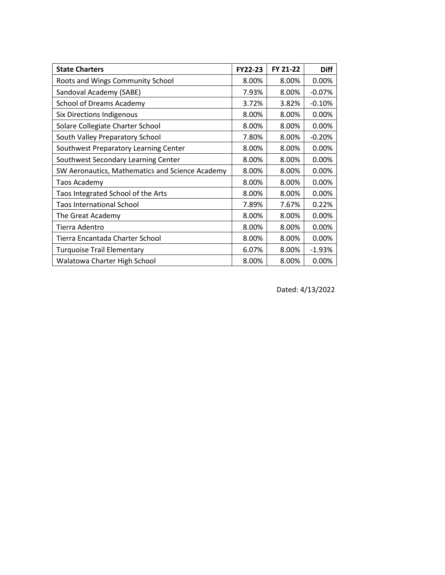| <b>State Charters</b>                           | FY22-23 | FY 21-22 | <b>Diff</b> |
|-------------------------------------------------|---------|----------|-------------|
| Roots and Wings Community School                | 8.00%   | 8.00%    | 0.00%       |
| Sandoval Academy (SABE)                         | 7.93%   | 8.00%    | $-0.07%$    |
| School of Dreams Academy                        | 3.72%   | 3.82%    | $-0.10%$    |
| <b>Six Directions Indigenous</b>                | 8.00%   | 8.00%    | 0.00%       |
| Solare Collegiate Charter School                | 8.00%   | 8.00%    | 0.00%       |
| South Valley Preparatory School                 | 7.80%   | 8.00%    | $-0.20%$    |
| Southwest Preparatory Learning Center           | 8.00%   | 8.00%    | 0.00%       |
| Southwest Secondary Learning Center             | 8.00%   | 8.00%    | 0.00%       |
| SW Aeronautics, Mathematics and Science Academy | 8.00%   | 8.00%    | 0.00%       |
| <b>Taos Academy</b>                             | 8.00%   | 8.00%    | 0.00%       |
| Taos Integrated School of the Arts              | 8.00%   | 8.00%    | 0.00%       |
| <b>Taos International School</b>                | 7.89%   | 7.67%    | 0.22%       |
| The Great Academy                               | 8.00%   | 8.00%    | 0.00%       |
| Tierra Adentro                                  | 8.00%   | 8.00%    | 0.00%       |
| Tierra Encantada Charter School                 | 8.00%   | 8.00%    | 0.00%       |
| <b>Turquoise Trail Elementary</b>               | 6.07%   | 8.00%    | $-1.93%$    |
| Walatowa Charter High School                    | 8.00%   | 8.00%    | 0.00%       |